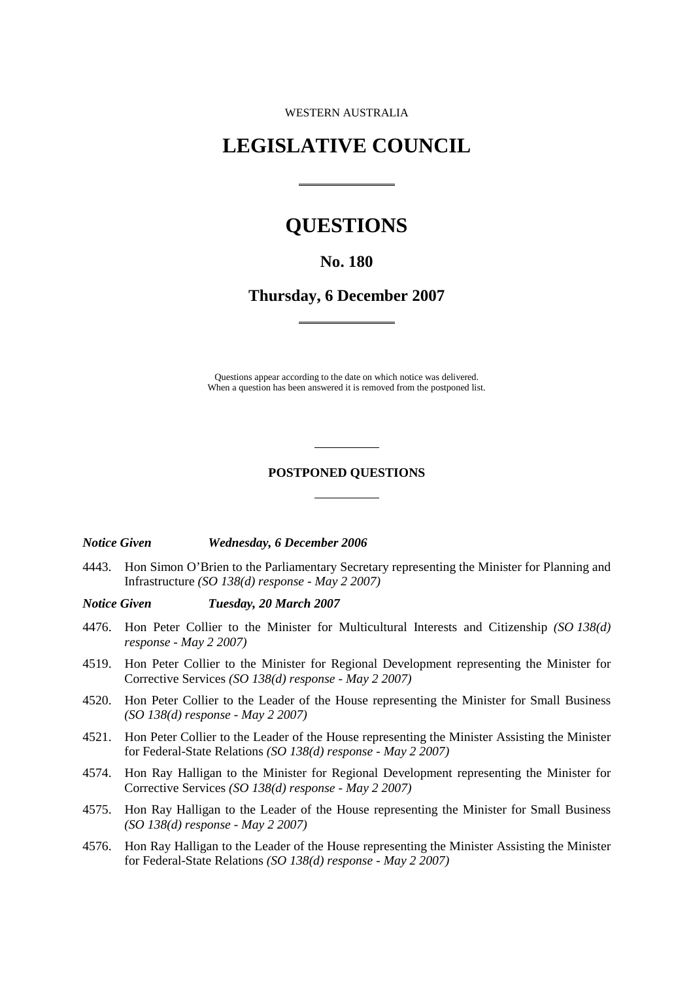WESTERN AUSTRALIA

## **LEGISLATIVE COUNCIL**

 $\overline{a}$ 

 $\overline{a}$ 

# **QUESTIONS**

## **No. 180**

**Thursday, 6 December 2007** 

Questions appear according to the date on which notice was delivered. When a question has been answered it is removed from the postponed list.

### **POSTPONED QUESTIONS**

l

l

## *Notice Given Wednesday, 6 December 2006*

4443. Hon Simon O'Brien to the Parliamentary Secretary representing the Minister for Planning and Infrastructure *(SO 138(d) response - May 2 2007)* 

#### *Notice Given Tuesday, 20 March 2007*

- 4476. Hon Peter Collier to the Minister for Multicultural Interests and Citizenship *(SO 138(d) response - May 2 2007)*
- 4519. Hon Peter Collier to the Minister for Regional Development representing the Minister for Corrective Services *(SO 138(d) response - May 2 2007)*
- 4520. Hon Peter Collier to the Leader of the House representing the Minister for Small Business *(SO 138(d) response - May 2 2007)*
- 4521. Hon Peter Collier to the Leader of the House representing the Minister Assisting the Minister for Federal-State Relations *(SO 138(d) response - May 2 2007)*
- 4574. Hon Ray Halligan to the Minister for Regional Development representing the Minister for Corrective Services *(SO 138(d) response - May 2 2007)*
- 4575. Hon Ray Halligan to the Leader of the House representing the Minister for Small Business *(SO 138(d) response - May 2 2007)*
- 4576. Hon Ray Halligan to the Leader of the House representing the Minister Assisting the Minister for Federal-State Relations *(SO 138(d) response - May 2 2007)*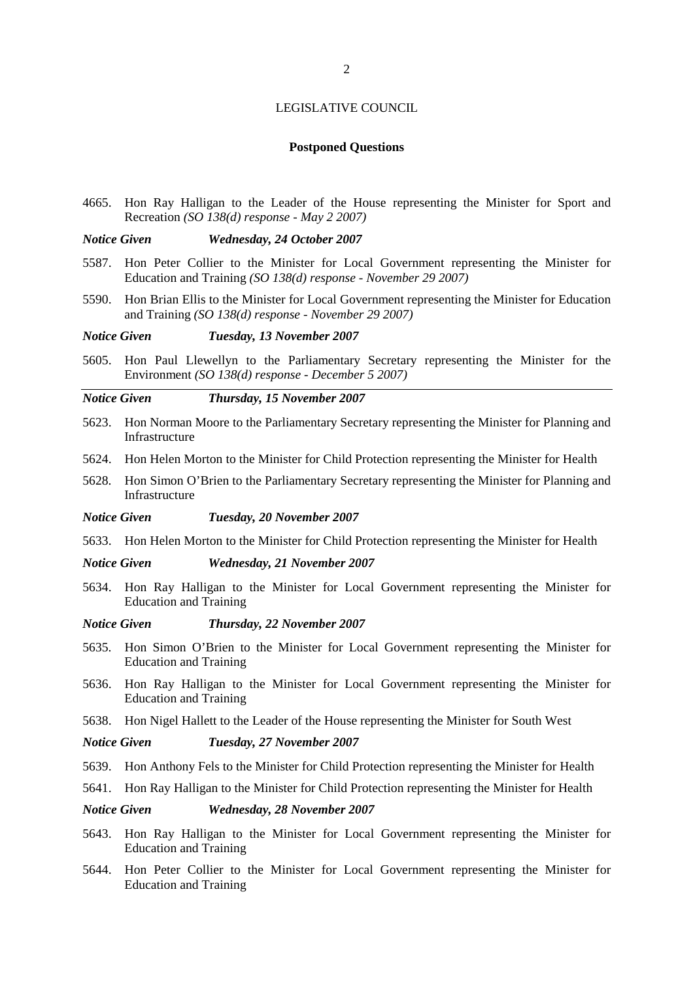#### **Postponed Questions**

4665. Hon Ray Halligan to the Leader of the House representing the Minister for Sport and Recreation *(SO 138(d) response - May 2 2007)* 

#### *Notice Given Wednesday, 24 October 2007*

- 5587. Hon Peter Collier to the Minister for Local Government representing the Minister for Education and Training *(SO 138(d) response - November 29 2007)*
- 5590. Hon Brian Ellis to the Minister for Local Government representing the Minister for Education and Training *(SO 138(d) response - November 29 2007)*

#### *Notice Given Tuesday, 13 November 2007*

5605. Hon Paul Llewellyn to the Parliamentary Secretary representing the Minister for the Environment *(SO 138(d) response - December 5 2007)* 

#### *Notice Given Thursday, 15 November 2007*

- 5623. Hon Norman Moore to the Parliamentary Secretary representing the Minister for Planning and Infrastructure
- 5624. Hon Helen Morton to the Minister for Child Protection representing the Minister for Health
- 5628. Hon Simon O'Brien to the Parliamentary Secretary representing the Minister for Planning and Infrastructure
- *Notice Given Tuesday, 20 November 2007*
- 5633. Hon Helen Morton to the Minister for Child Protection representing the Minister for Health

#### *Notice Given Wednesday, 21 November 2007*

5634. Hon Ray Halligan to the Minister for Local Government representing the Minister for Education and Training

#### *Notice Given Thursday, 22 November 2007*

- 5635. Hon Simon O'Brien to the Minister for Local Government representing the Minister for Education and Training
- 5636. Hon Ray Halligan to the Minister for Local Government representing the Minister for Education and Training
- 5638. Hon Nigel Hallett to the Leader of the House representing the Minister for South West

#### *Notice Given Tuesday, 27 November 2007*

- 5639. Hon Anthony Fels to the Minister for Child Protection representing the Minister for Health
- 5641. Hon Ray Halligan to the Minister for Child Protection representing the Minister for Health

#### *Notice Given Wednesday, 28 November 2007*

- 5643. Hon Ray Halligan to the Minister for Local Government representing the Minister for Education and Training
- 5644. Hon Peter Collier to the Minister for Local Government representing the Minister for Education and Training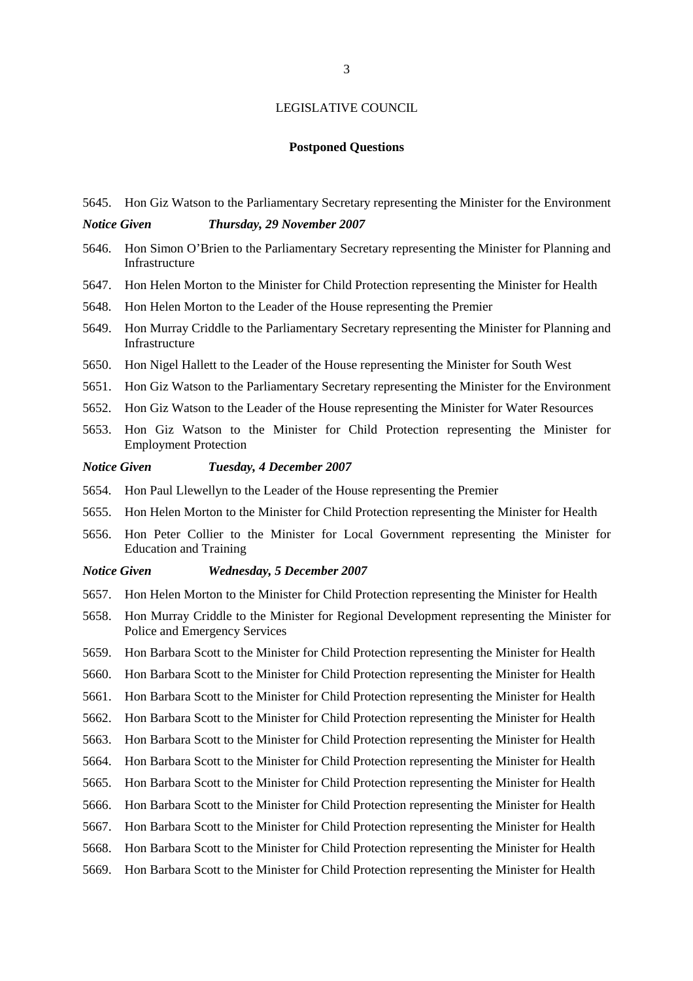#### **Postponed Questions**

5645. Hon Giz Watson to the Parliamentary Secretary representing the Minister for the Environment

## *Notice Given Thursday, 29 November 2007*

- 5646. Hon Simon O'Brien to the Parliamentary Secretary representing the Minister for Planning and Infrastructure
- 5647. Hon Helen Morton to the Minister for Child Protection representing the Minister for Health
- 5648. Hon Helen Morton to the Leader of the House representing the Premier
- 5649. Hon Murray Criddle to the Parliamentary Secretary representing the Minister for Planning and Infrastructure
- 5650. Hon Nigel Hallett to the Leader of the House representing the Minister for South West
- 5651. Hon Giz Watson to the Parliamentary Secretary representing the Minister for the Environment
- 5652. Hon Giz Watson to the Leader of the House representing the Minister for Water Resources
- 5653. Hon Giz Watson to the Minister for Child Protection representing the Minister for Employment Protection

#### *Notice Given Tuesday, 4 December 2007*

- 5654. Hon Paul Llewellyn to the Leader of the House representing the Premier
- 5655. Hon Helen Morton to the Minister for Child Protection representing the Minister for Health
- 5656. Hon Peter Collier to the Minister for Local Government representing the Minister for Education and Training

#### *Notice Given Wednesday, 5 December 2007*

- 5657. Hon Helen Morton to the Minister for Child Protection representing the Minister for Health
- 5658. Hon Murray Criddle to the Minister for Regional Development representing the Minister for Police and Emergency Services
- 5659. Hon Barbara Scott to the Minister for Child Protection representing the Minister for Health
- 5660. Hon Barbara Scott to the Minister for Child Protection representing the Minister for Health
- 5661. Hon Barbara Scott to the Minister for Child Protection representing the Minister for Health
- 5662. Hon Barbara Scott to the Minister for Child Protection representing the Minister for Health
- 5663. Hon Barbara Scott to the Minister for Child Protection representing the Minister for Health
- 5664. Hon Barbara Scott to the Minister for Child Protection representing the Minister for Health
- 5665. Hon Barbara Scott to the Minister for Child Protection representing the Minister for Health
- 5666. Hon Barbara Scott to the Minister for Child Protection representing the Minister for Health
- 5667. Hon Barbara Scott to the Minister for Child Protection representing the Minister for Health
- 5668. Hon Barbara Scott to the Minister for Child Protection representing the Minister for Health
- 5669. Hon Barbara Scott to the Minister for Child Protection representing the Minister for Health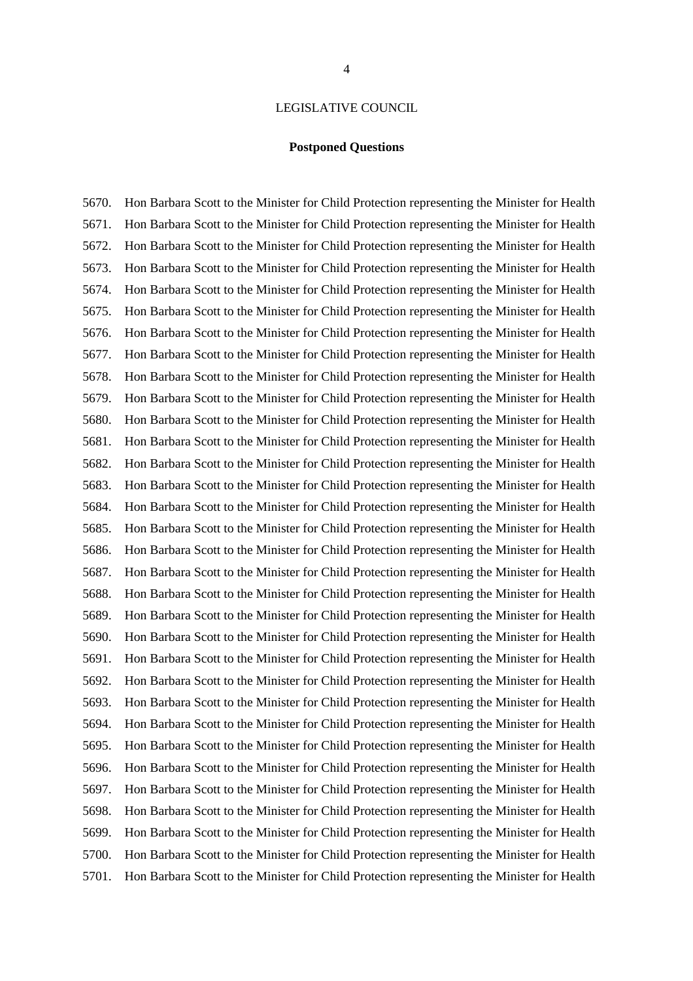#### **Postponed Questions**

5670. Hon Barbara Scott to the Minister for Child Protection representing the Minister for Health 5671. Hon Barbara Scott to the Minister for Child Protection representing the Minister for Health 5672. Hon Barbara Scott to the Minister for Child Protection representing the Minister for Health 5673. Hon Barbara Scott to the Minister for Child Protection representing the Minister for Health 5674. Hon Barbara Scott to the Minister for Child Protection representing the Minister for Health 5675. Hon Barbara Scott to the Minister for Child Protection representing the Minister for Health 5676. Hon Barbara Scott to the Minister for Child Protection representing the Minister for Health 5677. Hon Barbara Scott to the Minister for Child Protection representing the Minister for Health 5678. Hon Barbara Scott to the Minister for Child Protection representing the Minister for Health 5679. Hon Barbara Scott to the Minister for Child Protection representing the Minister for Health 5680. Hon Barbara Scott to the Minister for Child Protection representing the Minister for Health 5681. Hon Barbara Scott to the Minister for Child Protection representing the Minister for Health 5682. Hon Barbara Scott to the Minister for Child Protection representing the Minister for Health 5683. Hon Barbara Scott to the Minister for Child Protection representing the Minister for Health 5684. Hon Barbara Scott to the Minister for Child Protection representing the Minister for Health 5685. Hon Barbara Scott to the Minister for Child Protection representing the Minister for Health 5686. Hon Barbara Scott to the Minister for Child Protection representing the Minister for Health 5687. Hon Barbara Scott to the Minister for Child Protection representing the Minister for Health 5688. Hon Barbara Scott to the Minister for Child Protection representing the Minister for Health 5689. Hon Barbara Scott to the Minister for Child Protection representing the Minister for Health 5690. Hon Barbara Scott to the Minister for Child Protection representing the Minister for Health 5691. Hon Barbara Scott to the Minister for Child Protection representing the Minister for Health 5692. Hon Barbara Scott to the Minister for Child Protection representing the Minister for Health 5693. Hon Barbara Scott to the Minister for Child Protection representing the Minister for Health 5694. Hon Barbara Scott to the Minister for Child Protection representing the Minister for Health 5695. Hon Barbara Scott to the Minister for Child Protection representing the Minister for Health 5696. Hon Barbara Scott to the Minister for Child Protection representing the Minister for Health 5697. Hon Barbara Scott to the Minister for Child Protection representing the Minister for Health 5698. Hon Barbara Scott to the Minister for Child Protection representing the Minister for Health 5699. Hon Barbara Scott to the Minister for Child Protection representing the Minister for Health 5700. Hon Barbara Scott to the Minister for Child Protection representing the Minister for Health 5701. Hon Barbara Scott to the Minister for Child Protection representing the Minister for Health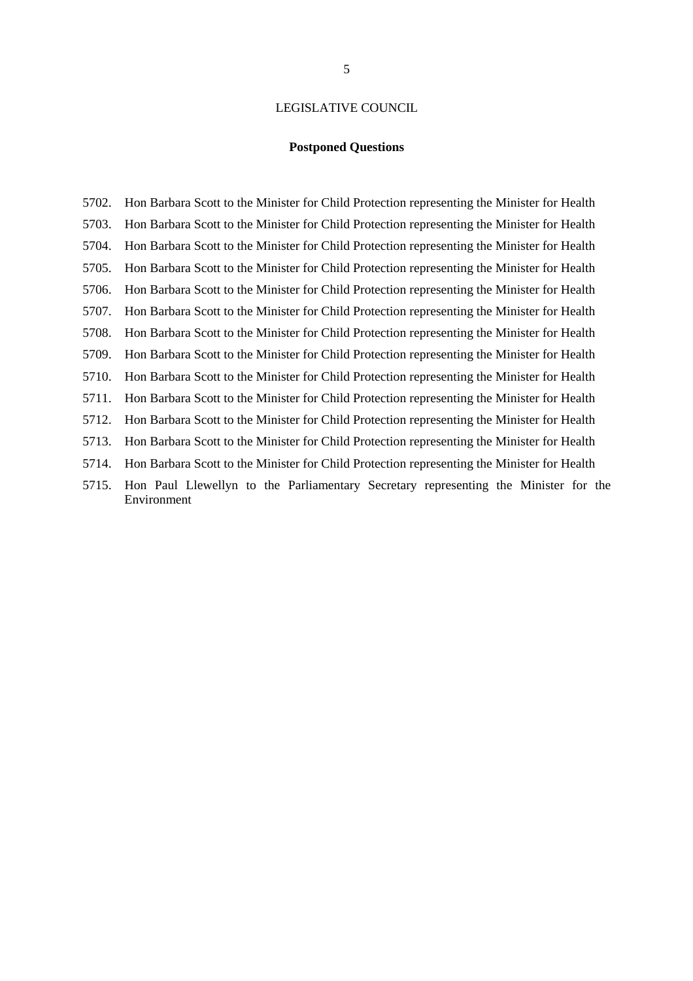## **Postponed Questions**

5702. Hon Barbara Scott to the Minister for Child Protection representing the Minister for Health 5703. Hon Barbara Scott to the Minister for Child Protection representing the Minister for Health 5704. Hon Barbara Scott to the Minister for Child Protection representing the Minister for Health 5705. Hon Barbara Scott to the Minister for Child Protection representing the Minister for Health 5706. Hon Barbara Scott to the Minister for Child Protection representing the Minister for Health 5707. Hon Barbara Scott to the Minister for Child Protection representing the Minister for Health 5708. Hon Barbara Scott to the Minister for Child Protection representing the Minister for Health 5709. Hon Barbara Scott to the Minister for Child Protection representing the Minister for Health 5710. Hon Barbara Scott to the Minister for Child Protection representing the Minister for Health 5711. Hon Barbara Scott to the Minister for Child Protection representing the Minister for Health 5712. Hon Barbara Scott to the Minister for Child Protection representing the Minister for Health 5713. Hon Barbara Scott to the Minister for Child Protection representing the Minister for Health 5714. Hon Barbara Scott to the Minister for Child Protection representing the Minister for Health 5715. Hon Paul Llewellyn to the Parliamentary Secretary representing the Minister for the Environment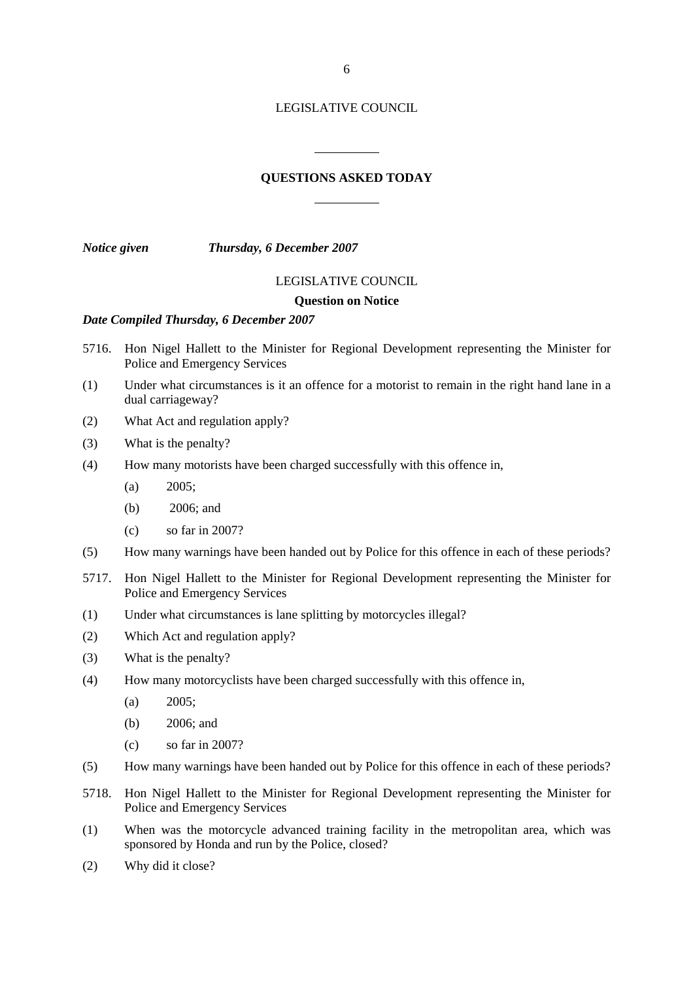## **QUESTIONS ASKED TODAY**

l

l

*Notice given Thursday, 6 December 2007* 

#### LEGISLATIVE COUNCIL

#### **Question on Notice**

## *Date Compiled Thursday, 6 December 2007*

- 5716. Hon Nigel Hallett to the Minister for Regional Development representing the Minister for Police and Emergency Services
- (1) Under what circumstances is it an offence for a motorist to remain in the right hand lane in a dual carriageway?
- (2) What Act and regulation apply?
- (3) What is the penalty?
- (4) How many motorists have been charged successfully with this offence in,
	- $(a)$  2005;
	- (b) 2006; and
	- (c) so far in 2007?
- (5) How many warnings have been handed out by Police for this offence in each of these periods?
- 5717. Hon Nigel Hallett to the Minister for Regional Development representing the Minister for Police and Emergency Services
- (1) Under what circumstances is lane splitting by motorcycles illegal?
- (2) Which Act and regulation apply?
- (3) What is the penalty?
- (4) How many motorcyclists have been charged successfully with this offence in,
	- (a) 2005;
	- (b) 2006; and
	- (c) so far in 2007?
- (5) How many warnings have been handed out by Police for this offence in each of these periods?
- 5718. Hon Nigel Hallett to the Minister for Regional Development representing the Minister for Police and Emergency Services
- (1) When was the motorcycle advanced training facility in the metropolitan area, which was sponsored by Honda and run by the Police, closed?
- (2) Why did it close?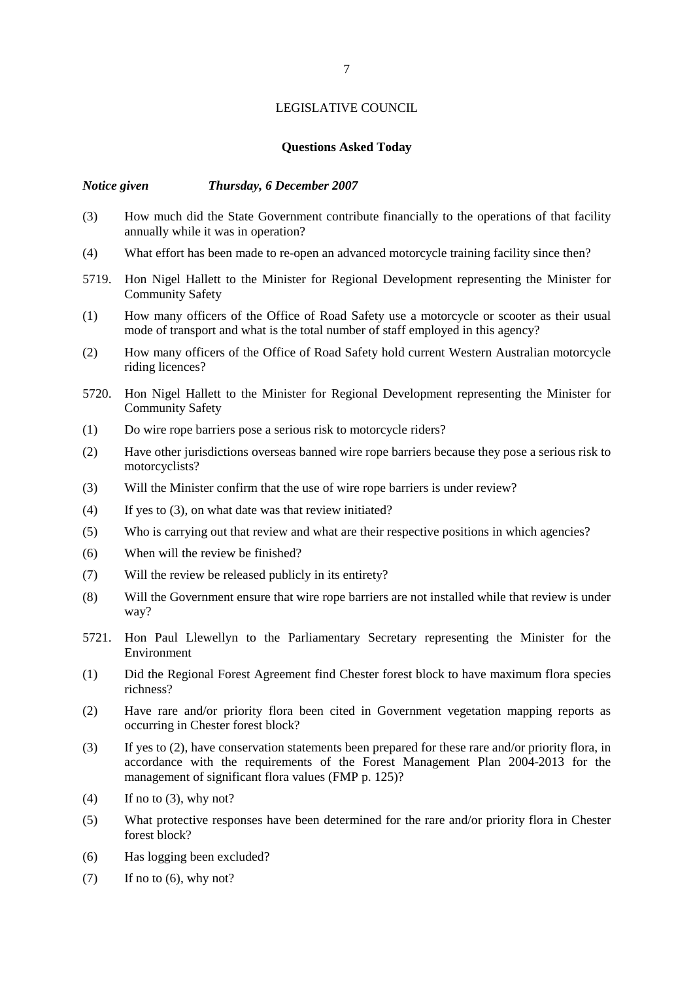## **Questions Asked Today**

#### *Notice given Thursday, 6 December 2007*

- (3) How much did the State Government contribute financially to the operations of that facility annually while it was in operation?
- (4) What effort has been made to re-open an advanced motorcycle training facility since then?
- 5719. Hon Nigel Hallett to the Minister for Regional Development representing the Minister for Community Safety
- (1) How many officers of the Office of Road Safety use a motorcycle or scooter as their usual mode of transport and what is the total number of staff employed in this agency?
- (2) How many officers of the Office of Road Safety hold current Western Australian motorcycle riding licences?
- 5720. Hon Nigel Hallett to the Minister for Regional Development representing the Minister for Community Safety
- (1) Do wire rope barriers pose a serious risk to motorcycle riders?
- (2) Have other jurisdictions overseas banned wire rope barriers because they pose a serious risk to motorcyclists?
- (3) Will the Minister confirm that the use of wire rope barriers is under review?
- (4) If yes to (3), on what date was that review initiated?
- (5) Who is carrying out that review and what are their respective positions in which agencies?
- (6) When will the review be finished?
- (7) Will the review be released publicly in its entirety?
- (8) Will the Government ensure that wire rope barriers are not installed while that review is under way?
- 5721. Hon Paul Llewellyn to the Parliamentary Secretary representing the Minister for the Environment
- (1) Did the Regional Forest Agreement find Chester forest block to have maximum flora species richness?
- (2) Have rare and/or priority flora been cited in Government vegetation mapping reports as occurring in Chester forest block?
- (3) If yes to (2), have conservation statements been prepared for these rare and/or priority flora, in accordance with the requirements of the Forest Management Plan 2004-2013 for the management of significant flora values (FMP p. 125)?
- $(4)$  If no to  $(3)$ , why not?
- (5) What protective responses have been determined for the rare and/or priority flora in Chester forest block?
- (6) Has logging been excluded?
- $(7)$  If no to  $(6)$ , why not?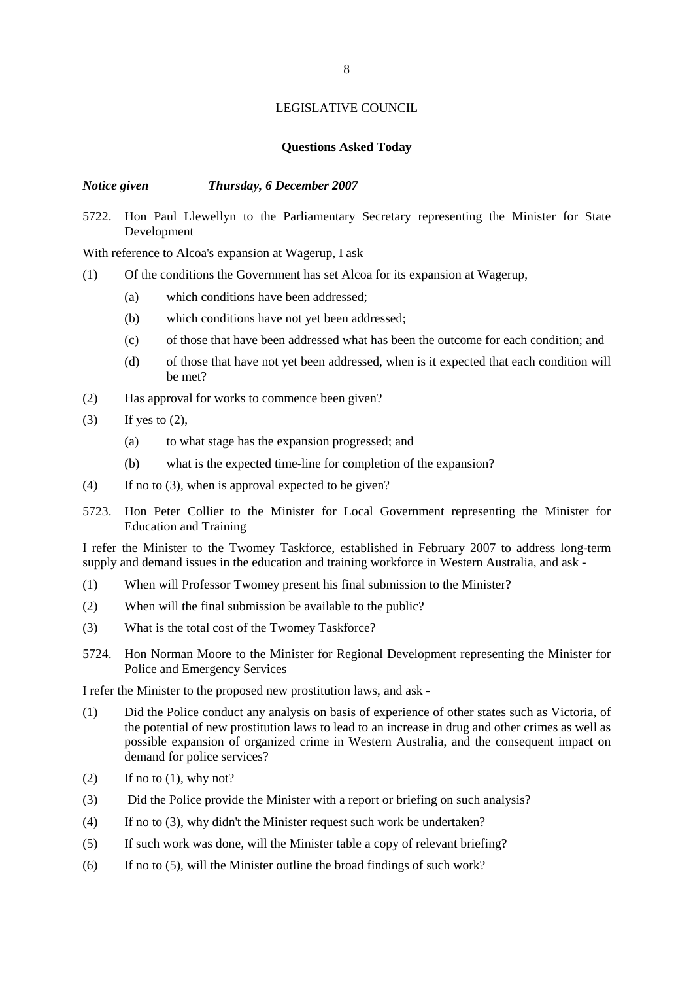## **Questions Asked Today**

#### *Notice given Thursday, 6 December 2007*

5722. Hon Paul Llewellyn to the Parliamentary Secretary representing the Minister for State Development

With reference to Alcoa's expansion at Wagerup, I ask

- (1) Of the conditions the Government has set Alcoa for its expansion at Wagerup,
	- (a) which conditions have been addressed;
	- (b) which conditions have not yet been addressed;
	- (c) of those that have been addressed what has been the outcome for each condition; and
	- (d) of those that have not yet been addressed, when is it expected that each condition will be met?
- (2) Has approval for works to commence been given?
- (3) If yes to  $(2)$ ,
	- (a) to what stage has the expansion progressed; and
	- (b) what is the expected time-line for completion of the expansion?
- (4) If no to (3), when is approval expected to be given?
- 5723. Hon Peter Collier to the Minister for Local Government representing the Minister for Education and Training

I refer the Minister to the Twomey Taskforce, established in February 2007 to address long-term supply and demand issues in the education and training workforce in Western Australia, and ask -

- (1) When will Professor Twomey present his final submission to the Minister?
- (2) When will the final submission be available to the public?
- (3) What is the total cost of the Twomey Taskforce?
- 5724. Hon Norman Moore to the Minister for Regional Development representing the Minister for Police and Emergency Services

I refer the Minister to the proposed new prostitution laws, and ask -

- (1) Did the Police conduct any analysis on basis of experience of other states such as Victoria, of the potential of new prostitution laws to lead to an increase in drug and other crimes as well as possible expansion of organized crime in Western Australia, and the consequent impact on demand for police services?
- $(2)$  If no to  $(1)$ , why not?
- (3) Did the Police provide the Minister with a report or briefing on such analysis?
- (4) If no to (3), why didn't the Minister request such work be undertaken?
- (5) If such work was done, will the Minister table a copy of relevant briefing?
- (6) If no to (5), will the Minister outline the broad findings of such work?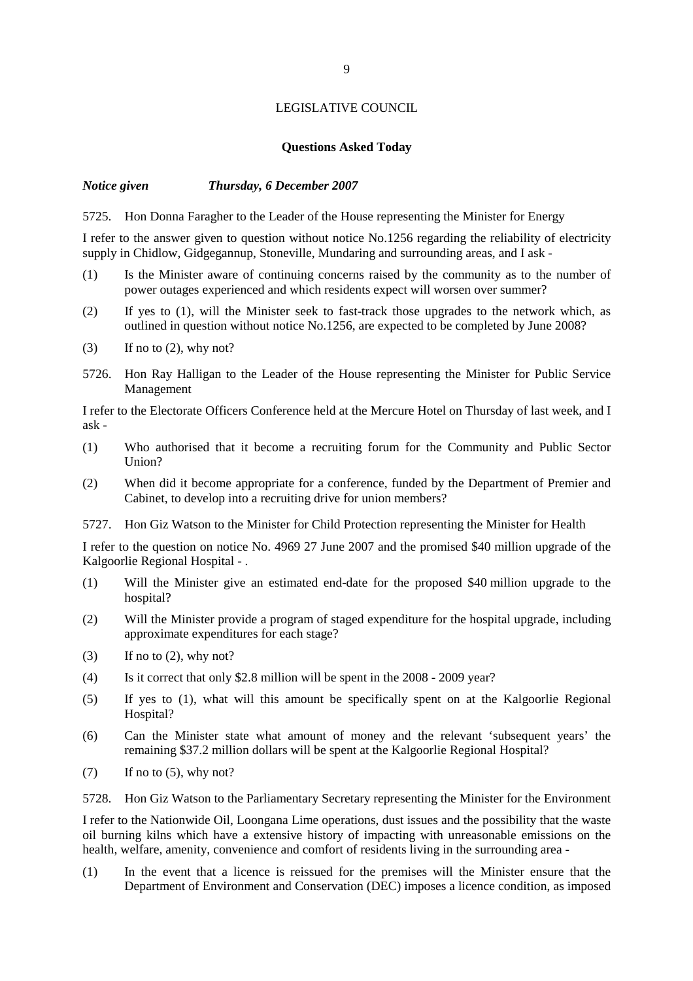## **Questions Asked Today**

## *Notice given Thursday, 6 December 2007*

5725. Hon Donna Faragher to the Leader of the House representing the Minister for Energy

I refer to the answer given to question without notice No.1256 regarding the reliability of electricity supply in Chidlow, Gidgegannup, Stoneville, Mundaring and surrounding areas, and I ask -

- (1) Is the Minister aware of continuing concerns raised by the community as to the number of power outages experienced and which residents expect will worsen over summer?
- (2) If yes to (1), will the Minister seek to fast-track those upgrades to the network which, as outlined in question without notice No.1256, are expected to be completed by June 2008?
- $(3)$  If no to  $(2)$ , why not?
- 5726. Hon Ray Halligan to the Leader of the House representing the Minister for Public Service Management

I refer to the Electorate Officers Conference held at the Mercure Hotel on Thursday of last week, and I ask -

- (1) Who authorised that it become a recruiting forum for the Community and Public Sector Union?
- (2) When did it become appropriate for a conference, funded by the Department of Premier and Cabinet, to develop into a recruiting drive for union members?
- 5727. Hon Giz Watson to the Minister for Child Protection representing the Minister for Health

I refer to the question on notice No. 4969 27 June 2007 and the promised \$40 million upgrade of the Kalgoorlie Regional Hospital - .

- (1) Will the Minister give an estimated end-date for the proposed \$40 million upgrade to the hospital?
- (2) Will the Minister provide a program of staged expenditure for the hospital upgrade, including approximate expenditures for each stage?
- $(3)$  If no to  $(2)$ , why not?
- (4) Is it correct that only \$2.8 million will be spent in the 2008 2009 year?
- (5) If yes to (1), what will this amount be specifically spent on at the Kalgoorlie Regional Hospital?
- (6) Can the Minister state what amount of money and the relevant 'subsequent years' the remaining \$37.2 million dollars will be spent at the Kalgoorlie Regional Hospital?
- $(7)$  If no to  $(5)$ , why not?

5728. Hon Giz Watson to the Parliamentary Secretary representing the Minister for the Environment

I refer to the Nationwide Oil, Loongana Lime operations, dust issues and the possibility that the waste oil burning kilns which have a extensive history of impacting with unreasonable emissions on the health, welfare, amenity, convenience and comfort of residents living in the surrounding area -

(1) In the event that a licence is reissued for the premises will the Minister ensure that the Department of Environment and Conservation (DEC) imposes a licence condition, as imposed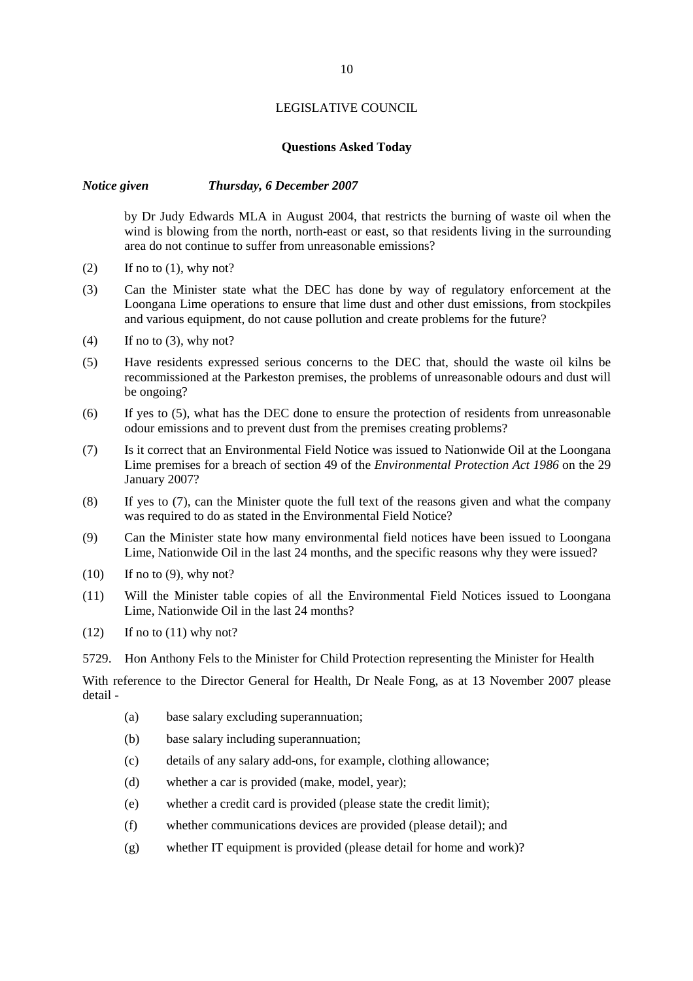## **Questions Asked Today**

#### *Notice given Thursday, 6 December 2007*

by Dr Judy Edwards MLA in August 2004, that restricts the burning of waste oil when the wind is blowing from the north, north-east or east, so that residents living in the surrounding area do not continue to suffer from unreasonable emissions?

- $(2)$  If no to  $(1)$ , why not?
- (3) Can the Minister state what the DEC has done by way of regulatory enforcement at the Loongana Lime operations to ensure that lime dust and other dust emissions, from stockpiles and various equipment, do not cause pollution and create problems for the future?
- $(4)$  If no to  $(3)$ , why not?
- (5) Have residents expressed serious concerns to the DEC that, should the waste oil kilns be recommissioned at the Parkeston premises, the problems of unreasonable odours and dust will be ongoing?
- (6) If yes to (5), what has the DEC done to ensure the protection of residents from unreasonable odour emissions and to prevent dust from the premises creating problems?
- (7) Is it correct that an Environmental Field Notice was issued to Nationwide Oil at the Loongana Lime premises for a breach of section 49 of the *Environmental Protection Act 1986* on the 29 January 2007?
- (8) If yes to (7), can the Minister quote the full text of the reasons given and what the company was required to do as stated in the Environmental Field Notice?
- (9) Can the Minister state how many environmental field notices have been issued to Loongana Lime, Nationwide Oil in the last 24 months, and the specific reasons why they were issued?
- $(10)$  If no to  $(9)$ , why not?
- (11) Will the Minister table copies of all the Environmental Field Notices issued to Loongana Lime, Nationwide Oil in the last 24 months?
- $(12)$  If no to  $(11)$  why not?
- 5729. Hon Anthony Fels to the Minister for Child Protection representing the Minister for Health

With reference to the Director General for Health, Dr Neale Fong, as at 13 November 2007 please detail -

- (a) base salary excluding superannuation;
- (b) base salary including superannuation;
- (c) details of any salary add-ons, for example, clothing allowance;
- (d) whether a car is provided (make, model, year);
- (e) whether a credit card is provided (please state the credit limit);
- (f) whether communications devices are provided (please detail); and
- (g) whether IT equipment is provided (please detail for home and work)?